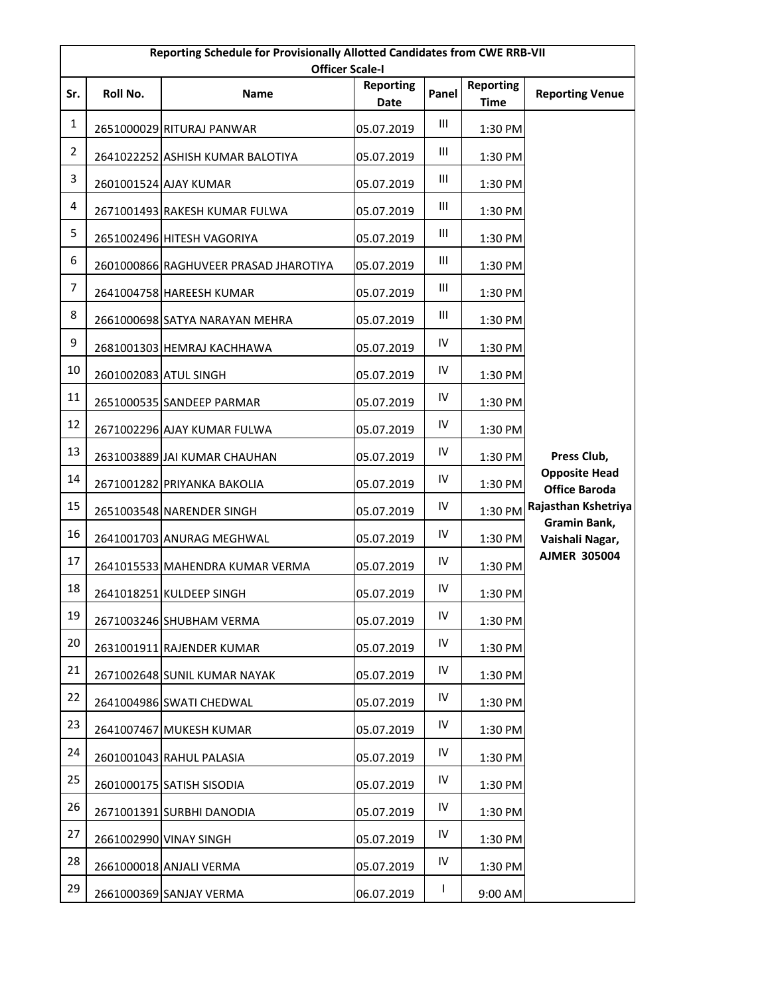|                | Reporting Schedule for Provisionally Allotted Candidates from CWE RRB-VII<br><b>Officer Scale-I</b> |                                       |                          |            |                                 |                                              |  |  |
|----------------|-----------------------------------------------------------------------------------------------------|---------------------------------------|--------------------------|------------|---------------------------------|----------------------------------------------|--|--|
| Sr.            | Roll No.                                                                                            | <b>Name</b>                           | <b>Reporting</b><br>Date | Panel      | <b>Reporting</b><br><b>Time</b> | <b>Reporting Venue</b>                       |  |  |
| $\mathbf{1}$   |                                                                                                     | 2651000029 RITURAJ PANWAR             | 05.07.2019               | Ш          | 1:30 PM                         |                                              |  |  |
| $\overline{2}$ |                                                                                                     | 2641022252 ASHISH KUMAR BALOTIYA      | 05.07.2019               | Ш          | 1:30 PM                         |                                              |  |  |
| $\overline{3}$ |                                                                                                     | 2601001524 AJAY KUMAR                 | 05.07.2019               | Ш          | 1:30 PM                         |                                              |  |  |
| 4              |                                                                                                     | 2671001493 RAKESH KUMAR FULWA         | 05.07.2019               | Ш          | 1:30 PM                         |                                              |  |  |
| 5              |                                                                                                     | 2651002496 HITESH VAGORIYA            | 05.07.2019               | Ш          | 1:30 PM                         |                                              |  |  |
| 6              |                                                                                                     | 2601000866 RAGHUVEER PRASAD JHAROTIYA | 05.07.2019               | Ш          | 1:30 PM                         |                                              |  |  |
| 7              |                                                                                                     | 2641004758 HAREESH KUMAR              | 05.07.2019               | Ш          | 1:30 PM                         |                                              |  |  |
| 8              |                                                                                                     | 2661000698 SATYA NARAYAN MEHRA        | 05.07.2019               | Ш          | 1:30 PM                         |                                              |  |  |
| 9              |                                                                                                     | 2681001303 HEMRAJ KACHHAWA            | 05.07.2019               | IV         | 1:30 PM                         |                                              |  |  |
| $10\,$         | 2601002083 ATUL SINGH                                                                               |                                       | 05.07.2019               | IV         | 1:30 PM                         |                                              |  |  |
| 11             |                                                                                                     | 2651000535 SANDEEP PARMAR             | 05.07.2019               | IV         | 1:30 PM                         |                                              |  |  |
| 12             |                                                                                                     | 2671002296 AJAY KUMAR FULWA           | 05.07.2019               | IV         | 1:30 PM                         |                                              |  |  |
| 13             |                                                                                                     | 2631003889 JAI KUMAR CHAUHAN          | 05.07.2019               | IV         | 1:30 PM                         | Press Club,                                  |  |  |
| 14             |                                                                                                     | 2671001282 PRIYANKA BAKOLIA           | 05.07.2019               | IV         | 1:30 PM                         | <b>Opposite Head</b><br><b>Office Baroda</b> |  |  |
| 15             |                                                                                                     | 2651003548 NARENDER SINGH             | 05.07.2019               | IV         | 1:30 PM                         | Rajasthan Kshetriya                          |  |  |
| 16             |                                                                                                     | 2641001703 ANURAG MEGHWAL             | 05.07.2019               | IV         | 1:30 PM                         | Gramin Bank,<br>Vaishali Nagar,              |  |  |
| 17             |                                                                                                     | 2641015533 MAHENDRA KUMAR VERMA       | 05.07.2019               | IV         | 1:30 PM                         | <b>AJMER 305004</b>                          |  |  |
| 18             |                                                                                                     | 2641018251 KULDEEP SINGH              | 05.07.2019               | IV         | 1:30 PM                         |                                              |  |  |
| 19             |                                                                                                     | 2671003246 SHUBHAM VERMA              | 05.07.2019               | ${\sf IV}$ | 1:30 PM                         |                                              |  |  |
| 20             |                                                                                                     | 2631001911 RAJENDER KUMAR             | 05.07.2019               | IV         | 1:30 PM                         |                                              |  |  |
| 21             |                                                                                                     | 2671002648 SUNIL KUMAR NAYAK          | 05.07.2019               | ${\sf IV}$ | 1:30 PM                         |                                              |  |  |
| 22             |                                                                                                     | 2641004986 SWATI CHEDWAL              | 05.07.2019               | IV         | 1:30 PM                         |                                              |  |  |
| 23             |                                                                                                     | 2641007467 MUKESH KUMAR               | 05.07.2019               | ${\sf IV}$ | 1:30 PM                         |                                              |  |  |
| 24             |                                                                                                     | 2601001043 RAHUL PALASIA              | 05.07.2019               | ${\sf IV}$ | 1:30 PM                         |                                              |  |  |
| 25             |                                                                                                     | 2601000175 SATISH SISODIA             | 05.07.2019               | ${\sf IV}$ | 1:30 PM                         |                                              |  |  |
| 26             |                                                                                                     | 2671001391 SURBHI DANODIA             | 05.07.2019               | IV         | 1:30 PM                         |                                              |  |  |
| 27             |                                                                                                     | 2661002990 VINAY SINGH                | 05.07.2019               | IV         | 1:30 PM                         |                                              |  |  |
| 28             |                                                                                                     | 2661000018 ANJALI VERMA               | 05.07.2019               | ${\sf IV}$ | 1:30 PM                         |                                              |  |  |
| 29             |                                                                                                     | 2661000369 SANJAY VERMA               | 06.07.2019               | L          | 9:00 AM                         |                                              |  |  |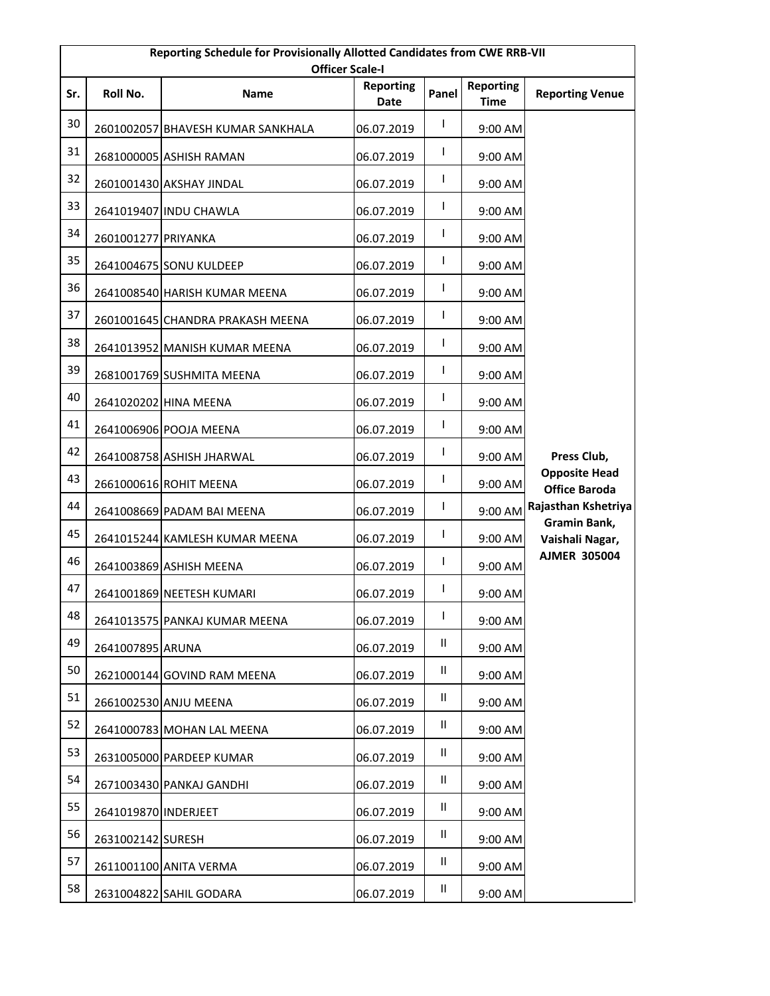| Reporting Schedule for Provisionally Allotted Candidates from CWE RRB-VII<br><b>Officer Scale-I</b> |                      |                                   |                          |               |                                 |                                              |  |
|-----------------------------------------------------------------------------------------------------|----------------------|-----------------------------------|--------------------------|---------------|---------------------------------|----------------------------------------------|--|
| Sr.                                                                                                 | Roll No.             | <b>Name</b>                       | <b>Reporting</b><br>Date | Panel         | <b>Reporting</b><br><b>Time</b> | <b>Reporting Venue</b>                       |  |
| 30                                                                                                  |                      | 2601002057 BHAVESH KUMAR SANKHALA | 06.07.2019               | I             | 9:00 AM                         |                                              |  |
| 31                                                                                                  |                      | 2681000005 ASHISH RAMAN           | 06.07.2019               | T             | 9:00 AM                         |                                              |  |
| 32                                                                                                  |                      | 2601001430 AKSHAY JINDAL          | 06.07.2019               | L             | 9:00 AM                         |                                              |  |
| 33                                                                                                  |                      | 2641019407 INDU CHAWLA            | 06.07.2019               | I             | 9:00 AM                         |                                              |  |
| 34                                                                                                  | 2601001277 PRIYANKA  |                                   | 06.07.2019               | I             | 9:00 AM                         |                                              |  |
| 35                                                                                                  |                      | 2641004675 SONU KULDEEP           | 06.07.2019               | I             | 9:00 AM                         |                                              |  |
| 36                                                                                                  |                      | 2641008540 HARISH KUMAR MEENA     | 06.07.2019               | I             | 9:00 AM                         |                                              |  |
| 37                                                                                                  |                      | 2601001645 CHANDRA PRAKASH MEENA  | 06.07.2019               | L             | 9:00 AM                         |                                              |  |
| 38                                                                                                  |                      | 2641013952 MANISH KUMAR MEENA     | 06.07.2019               | I             | 9:00 AM                         |                                              |  |
| 39                                                                                                  |                      | 2681001769 SUSHMITA MEENA         | 06.07.2019               | I             | 9:00 AM                         |                                              |  |
| 40                                                                                                  |                      | 2641020202 HINA MEENA             | 06.07.2019               | I             | 9:00 AM                         |                                              |  |
| 41                                                                                                  |                      | 2641006906 POOJA MEENA            | 06.07.2019               | I             | 9:00 AM                         |                                              |  |
| 42                                                                                                  |                      | 2641008758 ASHISH JHARWAL         | 06.07.2019               | I             | 9:00 AM                         | Press Club,                                  |  |
| 43                                                                                                  |                      | 2661000616 ROHIT MEENA            | 06.07.2019               | I             | 9:00 AM                         | <b>Opposite Head</b><br><b>Office Baroda</b> |  |
| 44                                                                                                  |                      | 2641008669 PADAM BAI MEENA        | 06.07.2019               | I             | 9:00 AM                         | Rajasthan Kshetriya                          |  |
| 45                                                                                                  |                      | 2641015244 KAMLESH KUMAR MEENA    | 06.07.2019               | I             | 9:00 AM                         | Gramin Bank,<br>Vaishali Nagar,              |  |
| 46                                                                                                  |                      | 2641003869 ASHISH MEENA           | 06.07.2019               | I             | 9:00 AM                         | <b>AJMER 305004</b>                          |  |
| 47                                                                                                  |                      | 2641001869 NEETESH KUMARI         | 06.07.2019               | I             | 9:00 AM                         |                                              |  |
| 48                                                                                                  |                      | 2641013575 PANKAJ KUMAR MEENA     | 06.07.2019               | I             | 9:00 AM                         |                                              |  |
| 49                                                                                                  | 2641007895 ARUNA     |                                   | 06.07.2019               | Ш             | 9:00 AM                         |                                              |  |
| 50                                                                                                  |                      | 2621000144 GOVIND RAM MEENA       | 06.07.2019               | $\mathsf{II}$ | 9:00 AM                         |                                              |  |
| 51                                                                                                  |                      | 2661002530 ANJU MEENA             | 06.07.2019               | Ш             | 9:00 AM                         |                                              |  |
| 52                                                                                                  |                      | 2641000783 MOHAN LAL MEENA        | 06.07.2019               | Ш             | 9:00 AM                         |                                              |  |
| 53                                                                                                  |                      | 2631005000 PARDEEP KUMAR          | 06.07.2019               | $\mathbf{II}$ | 9:00 AM                         |                                              |  |
| 54                                                                                                  |                      | 2671003430 PANKAJ GANDHI          | 06.07.2019               | Ш             | 9:00 AM                         |                                              |  |
| 55                                                                                                  | 2641019870 INDERJEET |                                   | 06.07.2019               | Ш             | 9:00 AM                         |                                              |  |
| 56                                                                                                  | 2631002142 SURESH    |                                   | 06.07.2019               | Ш             | 9:00 AM                         |                                              |  |
| 57                                                                                                  |                      | 2611001100 ANITA VERMA            | 06.07.2019               | Ш             | 9:00 AM                         |                                              |  |
| 58                                                                                                  |                      | 2631004822 SAHIL GODARA           | 06.07.2019               | Ш             | 9:00 AM                         |                                              |  |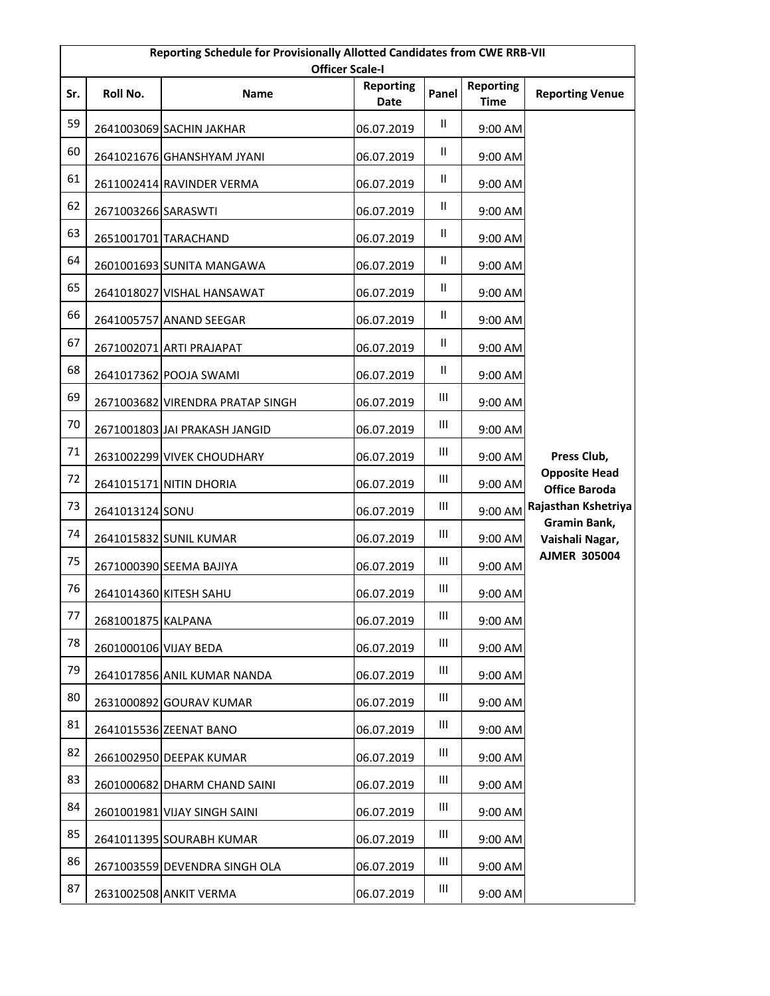|     | Reporting Schedule for Provisionally Allotted Candidates from CWE RRB-VII<br><b>Officer Scale-I</b> |                                  |                          |                                    |                                 |                                              |  |  |
|-----|-----------------------------------------------------------------------------------------------------|----------------------------------|--------------------------|------------------------------------|---------------------------------|----------------------------------------------|--|--|
| Sr. | Roll No.                                                                                            | <b>Name</b>                      | <b>Reporting</b><br>Date | Panel                              | <b>Reporting</b><br><b>Time</b> | <b>Reporting Venue</b>                       |  |  |
| 59  |                                                                                                     | 2641003069 SACHIN JAKHAR         | 06.07.2019               | $\mathbf{H}$                       | 9:00 AM                         |                                              |  |  |
| 60  |                                                                                                     | 2641021676 GHANSHYAM JYANI       | 06.07.2019               | Ш                                  | 9:00 AM                         |                                              |  |  |
| 61  |                                                                                                     | 2611002414 RAVINDER VERMA        | 06.07.2019               | Ш                                  | 9:00 AM                         |                                              |  |  |
| 62  | 2671003266 SARASWTI                                                                                 |                                  | 06.07.2019               | Ш                                  | 9:00 AM                         |                                              |  |  |
| 63  |                                                                                                     | 2651001701 TARACHAND             | 06.07.2019               | $\mathbf{H}$                       | 9:00 AM                         |                                              |  |  |
| 64  |                                                                                                     | 2601001693 SUNITA MANGAWA        | 06.07.2019               | Ш                                  | 9:00 AM                         |                                              |  |  |
| 65  |                                                                                                     | 2641018027 VISHAL HANSAWAT       | 06.07.2019               | $\mathbf{H}$                       | 9:00 AM                         |                                              |  |  |
| 66  |                                                                                                     | 2641005757 ANAND SEEGAR          | 06.07.2019               | $\mathsf{II}$                      | 9:00 AM                         |                                              |  |  |
| 67  |                                                                                                     | 2671002071 ARTI PRAJAPAT         | 06.07.2019               | Ш                                  | 9:00 AM                         |                                              |  |  |
| 68  |                                                                                                     | 2641017362 POOJA SWAMI           | 06.07.2019               | Ш                                  | 9:00 AM                         |                                              |  |  |
| 69  |                                                                                                     | 2671003682 VIRENDRA PRATAP SINGH | 06.07.2019               | Ш                                  | 9:00 AM                         |                                              |  |  |
| 70  |                                                                                                     | 2671001803 JAI PRAKASH JANGID    | 06.07.2019               | Ш                                  | 9:00 AM                         |                                              |  |  |
| 71  |                                                                                                     | 2631002299 VIVEK CHOUDHARY       | 06.07.2019               | $\ensuremath{\mathsf{III}}\xspace$ | 9:00 AM                         | Press Club,                                  |  |  |
| 72  |                                                                                                     | 2641015171 NITIN DHORIA          | 06.07.2019               | Ш                                  | 9:00 AM                         | <b>Opposite Head</b><br><b>Office Baroda</b> |  |  |
| 73  | 2641013124 SONU                                                                                     |                                  | 06.07.2019               | Ш                                  | 9:00 AM                         | Rajasthan Kshetriya                          |  |  |
| 74  |                                                                                                     | 2641015832 SUNIL KUMAR           | 06.07.2019               | $\ensuremath{\mathsf{III}}\xspace$ | 9:00 AM                         | Gramin Bank,<br>Vaishali Nagar,              |  |  |
| 75  |                                                                                                     | 2671000390 SEEMA BAJIYA          | 06.07.2019               | Ш                                  | 9:00 AM                         | <b>AJMER 305004</b>                          |  |  |
| 76  |                                                                                                     | 2641014360 KITESH SAHU           | 06.07.2019               | Ш                                  | 9:00 AM                         |                                              |  |  |
| 77  | 2681001875 KALPANA                                                                                  |                                  | 06.07.2019               | Ш                                  | 9:00 AM                         |                                              |  |  |
| 78  | 2601000106 VIJAY BEDA                                                                               |                                  | 06.07.2019               | Ш                                  | 9:00 AM                         |                                              |  |  |
| 79  |                                                                                                     | 2641017856 ANIL KUMAR NANDA      | 06.07.2019               | Ш                                  | 9:00 AM                         |                                              |  |  |
| 80  |                                                                                                     | 2631000892 GOURAV KUMAR          | 06.07.2019               | Ш                                  | 9:00 AM                         |                                              |  |  |
| 81  |                                                                                                     | 2641015536 ZEENAT BANO           | 06.07.2019               | Ш                                  | 9:00 AM                         |                                              |  |  |
| 82  |                                                                                                     | 2661002950 DEEPAK KUMAR          | 06.07.2019               | Ш                                  | 9:00 AM                         |                                              |  |  |
| 83  |                                                                                                     | 2601000682 DHARM CHAND SAINI     | 06.07.2019               | Ш                                  | 9:00 AM                         |                                              |  |  |
| 84  |                                                                                                     | 2601001981 VIJAY SINGH SAINI     | 06.07.2019               | Ш                                  | 9:00 AM                         |                                              |  |  |
| 85  |                                                                                                     | 2641011395 SOURABH KUMAR         | 06.07.2019               | $\ensuremath{\mathsf{III}}\xspace$ | 9:00 AM                         |                                              |  |  |
| 86  |                                                                                                     | 2671003559 DEVENDRA SINGH OLA    | 06.07.2019               | Ш                                  | 9:00 AM                         |                                              |  |  |
| 87  |                                                                                                     | 2631002508 ANKIT VERMA           | 06.07.2019               | Ш                                  | 9:00 AM                         |                                              |  |  |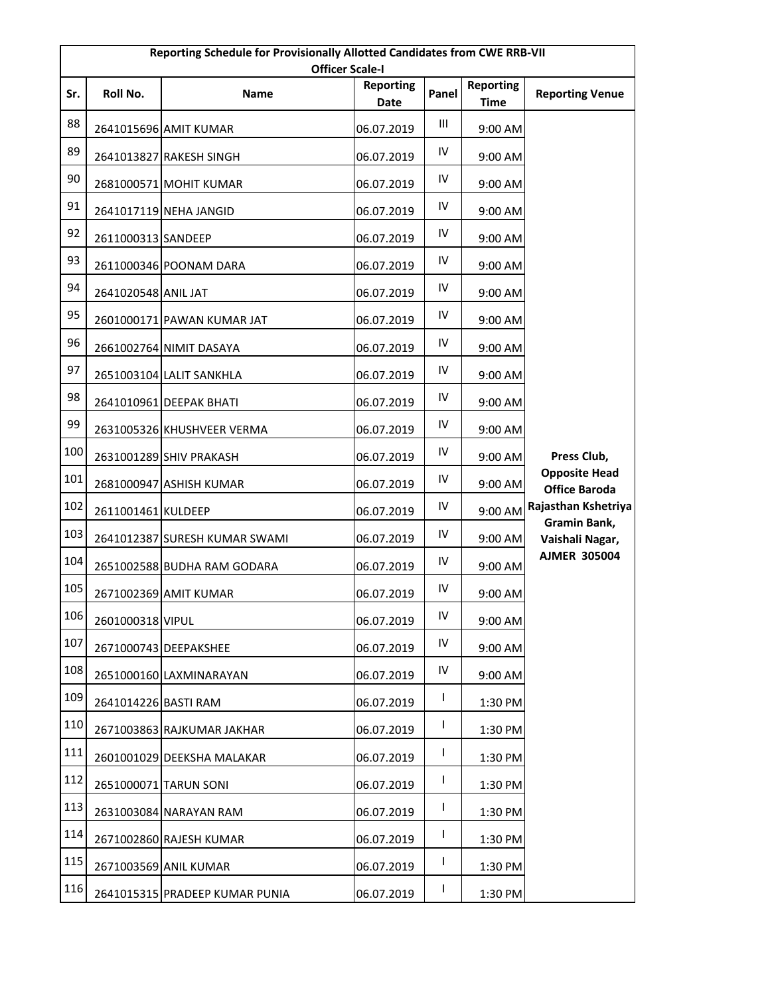|     | Reporting Schedule for Provisionally Allotted Candidates from CWE RRB-VII<br><b>Officer Scale-I</b> |                                |                          |            |                                 |                                              |  |  |
|-----|-----------------------------------------------------------------------------------------------------|--------------------------------|--------------------------|------------|---------------------------------|----------------------------------------------|--|--|
| Sr. | Roll No.                                                                                            | <b>Name</b>                    | <b>Reporting</b><br>Date | Panel      | <b>Reporting</b><br><b>Time</b> | <b>Reporting Venue</b>                       |  |  |
| 88  |                                                                                                     | 2641015696 AMIT KUMAR          | 06.07.2019               | Ш          | 9:00 AM                         |                                              |  |  |
| 89  |                                                                                                     | 2641013827 RAKESH SINGH        | 06.07.2019               | IV         | 9:00 AM                         |                                              |  |  |
| 90  |                                                                                                     | 2681000571 MOHIT KUMAR         | 06.07.2019               | ${\sf IV}$ | 9:00 AM                         |                                              |  |  |
| 91  |                                                                                                     | 2641017119 NEHA JANGID         | 06.07.2019               | IV         | 9:00 AM                         |                                              |  |  |
| 92  | 2611000313 SANDEEP                                                                                  |                                | 06.07.2019               | IV         | 9:00 AM                         |                                              |  |  |
| 93  |                                                                                                     | 2611000346 POONAM DARA         | 06.07.2019               | IV         | 9:00 AM                         |                                              |  |  |
| 94  | 2641020548 ANIL JAT                                                                                 |                                | 06.07.2019               | IV         | 9:00 AM                         |                                              |  |  |
| 95  |                                                                                                     | 2601000171 PAWAN KUMAR JAT     | 06.07.2019               | IV         | 9:00 AM                         |                                              |  |  |
| 96  |                                                                                                     | 2661002764 NIMIT DASAYA        | 06.07.2019               | IV         | 9:00 AM                         |                                              |  |  |
| 97  |                                                                                                     | 2651003104 LALIT SANKHLA       | 06.07.2019               | ${\sf IV}$ | 9:00 AM                         |                                              |  |  |
| 98  |                                                                                                     | 2641010961 DEEPAK BHATI        | 06.07.2019               | IV         | 9:00 AM                         |                                              |  |  |
| 99  |                                                                                                     | 2631005326 KHUSHVEER VERMA     | 06.07.2019               | IV         | 9:00 AM                         |                                              |  |  |
| 100 |                                                                                                     | 2631001289 SHIV PRAKASH        | 06.07.2019               | IV         | 9:00 AM                         | Press Club,                                  |  |  |
| 101 |                                                                                                     | 2681000947 ASHISH KUMAR        | 06.07.2019               | IV         | 9:00 AM                         | <b>Opposite Head</b><br><b>Office Baroda</b> |  |  |
| 102 | 2611001461 KULDEEP                                                                                  |                                | 06.07.2019               | IV         | 9:00 AM                         | Rajasthan Kshetriya                          |  |  |
| 103 |                                                                                                     | 2641012387 SURESH KUMAR SWAMI  | 06.07.2019               | IV         | 9:00 AM                         | Gramin Bank,<br>Vaishali Nagar,              |  |  |
| 104 |                                                                                                     | 2651002588 BUDHA RAM GODARA    | 06.07.2019               | IV         | 9:00 AM                         | <b>AJMER 305004</b>                          |  |  |
| 105 |                                                                                                     | 2671002369 AMIT KUMAR          | 06.07.2019               | IV         | 9:00 AM                         |                                              |  |  |
| 106 | 2601000318 VIPUL                                                                                    |                                | 06.07.2019               | IV         | 9:00 AM                         |                                              |  |  |
| 107 |                                                                                                     | 2671000743 DEEPAKSHEE          | 06.07.2019               | IV         | 9:00 AM                         |                                              |  |  |
| 108 |                                                                                                     | 2651000160 LAXMINARAYAN        | 06.07.2019               | IV         | 9:00 AM                         |                                              |  |  |
| 109 | 2641014226 BASTI RAM                                                                                |                                | 06.07.2019               | L          | 1:30 PM                         |                                              |  |  |
| 110 |                                                                                                     | 2671003863 RAJKUMAR JAKHAR     | 06.07.2019               | T          | 1:30 PM                         |                                              |  |  |
| 111 |                                                                                                     | 2601001029 DEEKSHA MALAKAR     | 06.07.2019               | L          | 1:30 PM                         |                                              |  |  |
| 112 |                                                                                                     | 2651000071 TARUN SONI          | 06.07.2019               | T          | 1:30 PM                         |                                              |  |  |
| 113 |                                                                                                     | 2631003084 NARAYAN RAM         | 06.07.2019               | L          | 1:30 PM                         |                                              |  |  |
| 114 |                                                                                                     | 2671002860 RAJESH KUMAR        | 06.07.2019               | L          | 1:30 PM                         |                                              |  |  |
| 115 |                                                                                                     | 2671003569 ANIL KUMAR          | 06.07.2019               | L          | 1:30 PM                         |                                              |  |  |
| 116 |                                                                                                     | 2641015315 PRADEEP KUMAR PUNIA | 06.07.2019               | L          | 1:30 PM                         |                                              |  |  |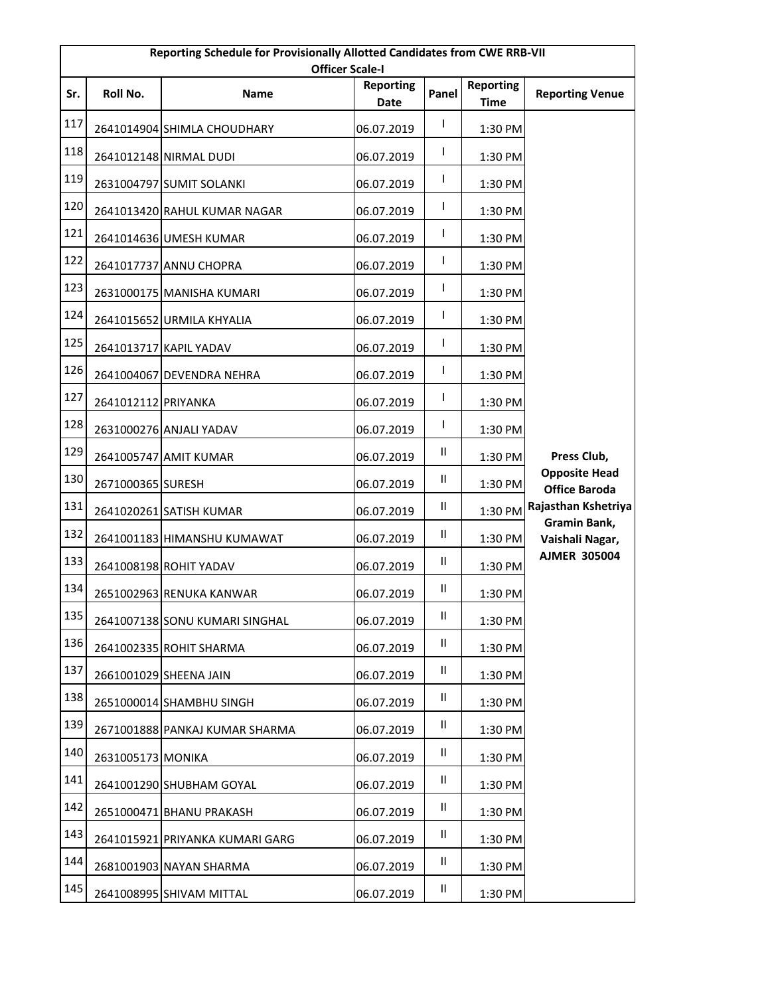| Reporting Schedule for Provisionally Allotted Candidates from CWE RRB-VII<br><b>Officer Scale-I</b> |                     |                                 |                          |               |                                 |                                              |  |
|-----------------------------------------------------------------------------------------------------|---------------------|---------------------------------|--------------------------|---------------|---------------------------------|----------------------------------------------|--|
| Sr.                                                                                                 | Roll No.            | <b>Name</b>                     | <b>Reporting</b><br>Date | Panel         | <b>Reporting</b><br><b>Time</b> | <b>Reporting Venue</b>                       |  |
| 117                                                                                                 |                     | 2641014904 SHIMLA CHOUDHARY     | 06.07.2019               | $\mathsf{I}$  | 1:30 PM                         |                                              |  |
| 118                                                                                                 |                     | 2641012148 NIRMAL DUDI          | 06.07.2019               | T             | 1:30 PM                         |                                              |  |
| 119                                                                                                 |                     | 2631004797 SUMIT SOLANKI        | 06.07.2019               | L             | 1:30 PM                         |                                              |  |
| 120                                                                                                 |                     | 2641013420 RAHUL KUMAR NAGAR    | 06.07.2019               | T             | 1:30 PM                         |                                              |  |
| 121                                                                                                 |                     | 2641014636 UMESH KUMAR          | 06.07.2019               | L             | 1:30 PM                         |                                              |  |
| 122                                                                                                 |                     | 2641017737 ANNU CHOPRA          | 06.07.2019               | L             | 1:30 PM                         |                                              |  |
| 123                                                                                                 |                     | 2631000175 MANISHA KUMARI       | 06.07.2019               | I             | 1:30 PM                         |                                              |  |
| 124                                                                                                 |                     | 2641015652 URMILA KHYALIA       | 06.07.2019               | L             | 1:30 PM                         |                                              |  |
| 125                                                                                                 |                     | 2641013717 KAPIL YADAV          | 06.07.2019               | L             | 1:30 PM                         |                                              |  |
| 126                                                                                                 |                     | 2641004067 DEVENDRA NEHRA       | 06.07.2019               | T             | 1:30 PM                         |                                              |  |
| 127                                                                                                 | 2641012112 PRIYANKA |                                 | 06.07.2019               | L             | 1:30 PM                         |                                              |  |
| 128                                                                                                 |                     | 2631000276 ANJALI YADAV         | 06.07.2019               | T             | 1:30 PM                         |                                              |  |
| 129                                                                                                 |                     | 2641005747 AMIT KUMAR           | 06.07.2019               | Ш             | 1:30 PM                         | Press Club,                                  |  |
| 130                                                                                                 | 2671000365 SURESH   |                                 | 06.07.2019               | Ш             | 1:30 PM                         | <b>Opposite Head</b><br><b>Office Baroda</b> |  |
| 131                                                                                                 |                     | 2641020261 SATISH KUMAR         | 06.07.2019               | Ш             | 1:30 PM                         | Rajasthan Kshetriya                          |  |
| 132                                                                                                 |                     | 2641001183 HIMANSHU KUMAWAT     | 06.07.2019               | Ш             | 1:30 PM                         | Gramin Bank,<br>Vaishali Nagar,              |  |
| 133                                                                                                 |                     | 2641008198 ROHIT YADAV          | 06.07.2019               | Ш             | 1:30 PM                         | <b>AJMER 305004</b>                          |  |
| 134                                                                                                 |                     | 2651002963 RENUKA KANWAR        | 06.07.2019               | $\mathbf{H}$  | 1:30 PM                         |                                              |  |
| 135                                                                                                 |                     | 2641007138 SONU KUMARI SINGHAL  | 06.07.2019               | Ш             | 1:30 PM                         |                                              |  |
| 136                                                                                                 |                     | 2641002335 ROHIT SHARMA         | 06.07.2019               | Ш             | 1:30 PM                         |                                              |  |
| 137                                                                                                 |                     | 2661001029 SHEENA JAIN          | 06.07.2019               | $\mathsf{II}$ | 1:30 PM                         |                                              |  |
| 138                                                                                                 |                     | 2651000014 SHAMBHU SINGH        | 06.07.2019               | Ш             | 1:30 PM                         |                                              |  |
| 139                                                                                                 |                     | 2671001888 PANKAJ KUMAR SHARMA  | 06.07.2019               | Ш             | 1:30 PM                         |                                              |  |
| 140                                                                                                 | 2631005173 MONIKA   |                                 | 06.07.2019               | Ш             | 1:30 PM                         |                                              |  |
| 141                                                                                                 |                     | 2641001290 SHUBHAM GOYAL        | 06.07.2019               | Ш             | 1:30 PM                         |                                              |  |
| 142                                                                                                 |                     | 2651000471 BHANU PRAKASH        | 06.07.2019               | Ш             | 1:30 PM                         |                                              |  |
| 143                                                                                                 |                     | 2641015921 PRIYANKA KUMARI GARG | 06.07.2019               | Ш             | 1:30 PM                         |                                              |  |
| 144                                                                                                 |                     | 2681001903 NAYAN SHARMA         | 06.07.2019               | Ш             | 1:30 PM                         |                                              |  |
| 145                                                                                                 |                     | 2641008995 SHIVAM MITTAL        | 06.07.2019               | Ш             | 1:30 PM                         |                                              |  |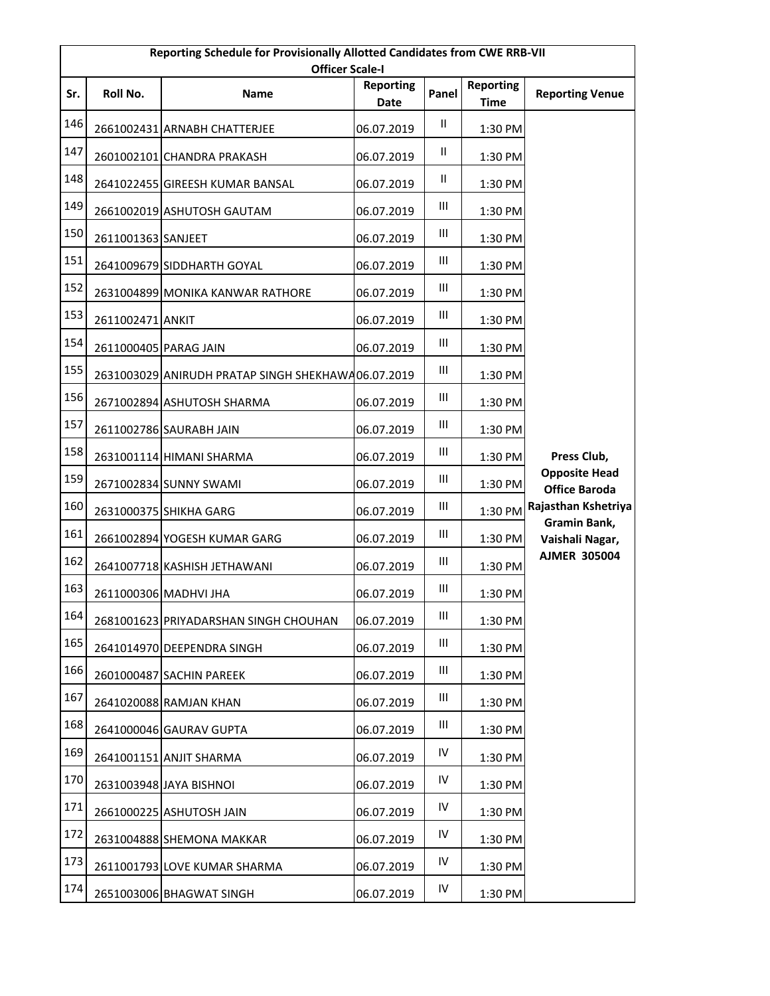| Reporting Schedule for Provisionally Allotted Candidates from CWE RRB-VII<br><b>Officer Scale-I</b> |                       |                                                    |                          |                                    |                                 |                                              |  |
|-----------------------------------------------------------------------------------------------------|-----------------------|----------------------------------------------------|--------------------------|------------------------------------|---------------------------------|----------------------------------------------|--|
| Sr.                                                                                                 | Roll No.              | <b>Name</b>                                        | <b>Reporting</b><br>Date | Panel                              | <b>Reporting</b><br><b>Time</b> | <b>Reporting Venue</b>                       |  |
| 146                                                                                                 |                       | 2661002431 ARNABH CHATTERJEE                       | 06.07.2019               | Ш.                                 | 1:30 PM                         |                                              |  |
| 147                                                                                                 |                       | 2601002101 CHANDRA PRAKASH                         | 06.07.2019               | Ш                                  | 1:30 PM                         |                                              |  |
| 148                                                                                                 |                       | 2641022455 GIREESH KUMAR BANSAL                    | 06.07.2019               | $\mathbf{II}$                      | 1:30 PM                         |                                              |  |
| 149                                                                                                 |                       | 2661002019 ASHUTOSH GAUTAM                         | 06.07.2019               | Ш                                  | 1:30 PM                         |                                              |  |
| 150                                                                                                 | 2611001363 SANJEET    |                                                    | 06.07.2019               | Ш                                  | 1:30 PM                         |                                              |  |
| 151                                                                                                 |                       | 2641009679 SIDDHARTH GOYAL                         | 06.07.2019               | Ш                                  | 1:30 PM                         |                                              |  |
| 152                                                                                                 |                       | 2631004899 MONIKA KANWAR RATHORE                   | 06.07.2019               | Ш                                  | 1:30 PM                         |                                              |  |
| 153                                                                                                 | 2611002471 ANKIT      |                                                    | 06.07.2019               | Ш                                  | 1:30 PM                         |                                              |  |
| 154                                                                                                 | 2611000405 PARAG JAIN |                                                    | 06.07.2019               | Ш                                  | 1:30 PM                         |                                              |  |
| 155                                                                                                 |                       | 2631003029 ANIRUDH PRATAP SINGH SHEKHAWA06.07.2019 |                          | Ш                                  | 1:30 PM                         |                                              |  |
| 156                                                                                                 |                       | 2671002894 ASHUTOSH SHARMA                         | 06.07.2019               | $\ensuremath{\mathsf{III}}\xspace$ | 1:30 PM                         |                                              |  |
| 157                                                                                                 |                       | 2611002786 SAURABH JAIN                            | 06.07.2019               | Ш                                  | 1:30 PM                         |                                              |  |
| 158                                                                                                 |                       | 2631001114 HIMANI SHARMA                           | 06.07.2019               | Ш                                  | 1:30 PM                         | Press Club,                                  |  |
| 159                                                                                                 |                       | 2671002834 SUNNY SWAMI                             | 06.07.2019               | Ш                                  | 1:30 PM                         | <b>Opposite Head</b><br><b>Office Baroda</b> |  |
| 160                                                                                                 |                       | 2631000375 SHIKHA GARG                             | 06.07.2019               | Ш                                  | 1:30 PM                         | Rajasthan Kshetriya                          |  |
| 161                                                                                                 |                       | 2661002894 YOGESH KUMAR GARG                       | 06.07.2019               | Ш                                  | 1:30 PM                         | Gramin Bank,<br>Vaishali Nagar,              |  |
| 162                                                                                                 |                       | 2641007718 KASHISH JETHAWANI                       | 06.07.2019               | Ш                                  | 1:30 PM                         | <b>AJMER 305004</b>                          |  |
| 163                                                                                                 |                       | 2611000306 MADHVI JHA                              | 06.07.2019               | Ш                                  | 1:30 PM                         |                                              |  |
| 164                                                                                                 |                       | 2681001623 PRIYADARSHAN SINGH CHOUHAN              | 06.07.2019               | $\ensuremath{\mathsf{III}}\xspace$ | 1:30 PM                         |                                              |  |
| 165                                                                                                 |                       | 2641014970 DEEPENDRA SINGH                         | 06.07.2019               | Ш                                  | 1:30 PM                         |                                              |  |
| 166                                                                                                 |                       | 2601000487 SACHIN PAREEK                           | 06.07.2019               | $\ensuremath{\mathsf{III}}\xspace$ | 1:30 PM                         |                                              |  |
| 167                                                                                                 |                       | 2641020088 RAMJAN KHAN                             | 06.07.2019               | Ш                                  | 1:30 PM                         |                                              |  |
| 168                                                                                                 |                       | 2641000046 GAURAV GUPTA                            | 06.07.2019               | Ш                                  | 1:30 PM                         |                                              |  |
| 169                                                                                                 |                       | 2641001151 ANJIT SHARMA                            | 06.07.2019               | ${\sf IV}$                         | 1:30 PM                         |                                              |  |
| 170                                                                                                 |                       | 2631003948 JAYA BISHNOI                            | 06.07.2019               | ${\sf IV}$                         | 1:30 PM                         |                                              |  |
| 171                                                                                                 |                       | 2661000225 ASHUTOSH JAIN                           | 06.07.2019               | IV                                 | 1:30 PM                         |                                              |  |
| 172                                                                                                 |                       | 2631004888 SHEMONA MAKKAR                          | 06.07.2019               | IV                                 | 1:30 PM                         |                                              |  |
| 173                                                                                                 |                       | 2611001793 LOVE KUMAR SHARMA                       | 06.07.2019               | ${\sf IV}$                         | 1:30 PM                         |                                              |  |
| 174                                                                                                 |                       | 2651003006 BHAGWAT SINGH                           | 06.07.2019               | IV                                 | 1:30 PM                         |                                              |  |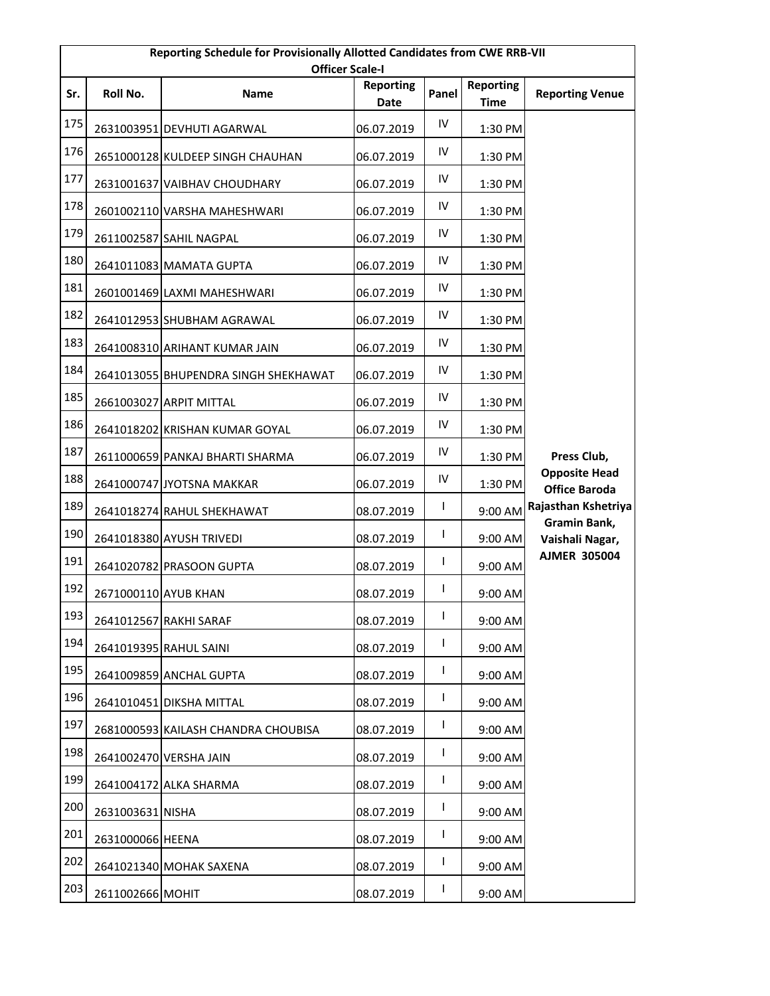| Reporting Schedule for Provisionally Allotted Candidates from CWE RRB-VII<br><b>Officer Scale-I</b> |                      |                                      |                          |              |                                 |                                              |  |
|-----------------------------------------------------------------------------------------------------|----------------------|--------------------------------------|--------------------------|--------------|---------------------------------|----------------------------------------------|--|
| Sr.                                                                                                 | Roll No.             | <b>Name</b>                          | <b>Reporting</b><br>Date | Panel        | <b>Reporting</b><br><b>Time</b> | <b>Reporting Venue</b>                       |  |
| 175                                                                                                 |                      | 2631003951 DEVHUTI AGARWAL           | 06.07.2019               | IV           | 1:30 PM                         |                                              |  |
| 176                                                                                                 |                      | 2651000128 KULDEEP SINGH CHAUHAN     | 06.07.2019               | IV           | 1:30 PM                         |                                              |  |
| 177                                                                                                 |                      | 2631001637 VAIBHAV CHOUDHARY         | 06.07.2019               | ${\sf IV}$   | 1:30 PM                         |                                              |  |
| 178                                                                                                 |                      | 2601002110 VARSHA MAHESHWARI         | 06.07.2019               | IV           | 1:30 PM                         |                                              |  |
| 179                                                                                                 |                      | 2611002587 SAHIL NAGPAL              | 06.07.2019               | IV           | 1:30 PM                         |                                              |  |
| 180                                                                                                 |                      | 2641011083 MAMATA GUPTA              | 06.07.2019               | IV           | 1:30 PM                         |                                              |  |
| 181                                                                                                 |                      | 2601001469 LAXMI MAHESHWARI          | 06.07.2019               | IV           | 1:30 PM                         |                                              |  |
| 182                                                                                                 |                      | 2641012953 SHUBHAM AGRAWAL           | 06.07.2019               | IV           | 1:30 PM                         |                                              |  |
| 183                                                                                                 |                      | 2641008310 ARIHANT KUMAR JAIN        | 06.07.2019               | IV           | 1:30 PM                         |                                              |  |
| 184                                                                                                 |                      | 2641013055 BHUPENDRA SINGH SHEKHAWAT | 06.07.2019               | IV           | 1:30 PM                         |                                              |  |
| 185                                                                                                 |                      | 2661003027 ARPIT MITTAL              | 06.07.2019               | IV           | 1:30 PM                         |                                              |  |
| 186                                                                                                 |                      | 2641018202 KRISHAN KUMAR GOYAL       | 06.07.2019               | IV           | 1:30 PM                         |                                              |  |
| 187                                                                                                 |                      | 2611000659 PANKAJ BHARTI SHARMA      | 06.07.2019               | IV           | 1:30 PM                         | Press Club,                                  |  |
| 188                                                                                                 |                      | 2641000747 JYOTSNA MAKKAR            | 06.07.2019               | IV           | 1:30 PM                         | <b>Opposite Head</b><br><b>Office Baroda</b> |  |
| 189                                                                                                 |                      | 2641018274 RAHUL SHEKHAWAT           | 08.07.2019               | L            | 9:00 AM                         | Rajasthan Kshetriya                          |  |
| 190                                                                                                 |                      | 2641018380 AYUSH TRIVEDI             | 08.07.2019               | L            | 9:00 AM                         | Gramin Bank,<br>Vaishali Nagar,              |  |
| 191                                                                                                 |                      | 2641020782 PRASOON GUPTA             | 08.07.2019               | $\mathsf{I}$ | 9:00 AM                         | <b>AJMER 305004</b>                          |  |
| 192                                                                                                 | 2671000110 AYUB KHAN |                                      | 08.07.2019               | T            | 9:00 AM                         |                                              |  |
| 193                                                                                                 |                      | 2641012567 RAKHI SARAF               | 08.07.2019               | T            | 9:00 AM                         |                                              |  |
| 194                                                                                                 |                      | 2641019395 RAHUL SAINI               | 08.07.2019               | T            | 9:00 AM                         |                                              |  |
| 195                                                                                                 |                      | 2641009859 ANCHAL GUPTA              | 08.07.2019               | L            | 9:00 AM                         |                                              |  |
| 196                                                                                                 |                      | 2641010451 DIKSHA MITTAL             | 08.07.2019               | L            | 9:00 AM                         |                                              |  |
| 197                                                                                                 |                      | 2681000593 KAILASH CHANDRA CHOUBISA  | 08.07.2019               | I            | 9:00 AM                         |                                              |  |
| 198                                                                                                 |                      | 2641002470 VERSHA JAIN               | 08.07.2019               | L            | 9:00 AM                         |                                              |  |
| 199                                                                                                 |                      | 2641004172 ALKA SHARMA               | 08.07.2019               | L            | 9:00 AM                         |                                              |  |
| 200                                                                                                 | 2631003631 NISHA     |                                      | 08.07.2019               | L            | 9:00 AM                         |                                              |  |
| 201                                                                                                 | 2631000066 HEENA     |                                      | 08.07.2019               | L            | 9:00 AM                         |                                              |  |
| 202                                                                                                 |                      | 2641021340 MOHAK SAXENA              | 08.07.2019               | L            | 9:00 AM                         |                                              |  |
| 203                                                                                                 | 2611002666 MOHIT     |                                      | 08.07.2019               | L            | 9:00 AM                         |                                              |  |